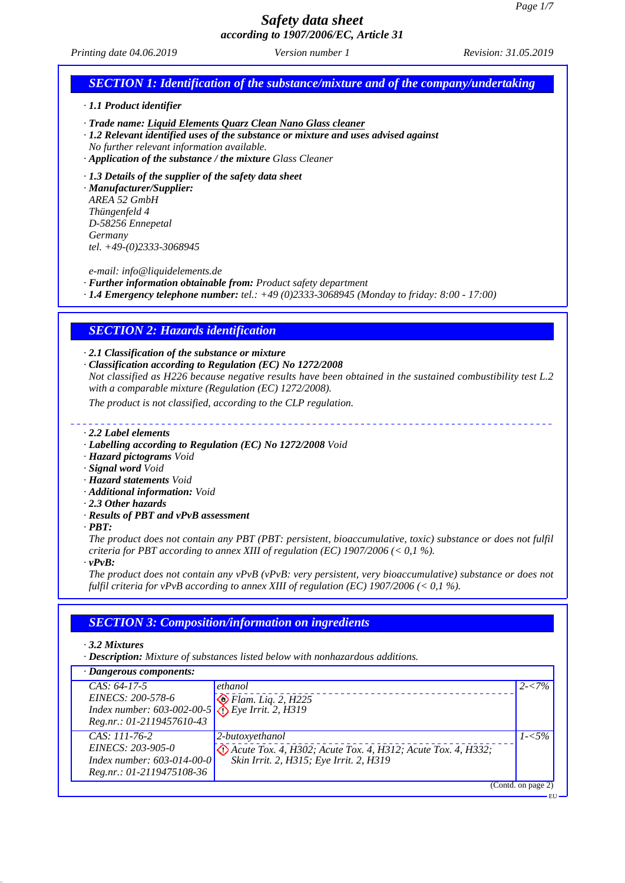EU

## *Safety data sheet according to 1907/2006/EC, Article 31*

*Printing date 04.06.2019 Revision: 31.05.2019 Version number 1*

# *SECTION 1: Identification of the substance/mixture and of the company/undertaking*

*· 1.1 Product identifier*

- *· Trade name: Liquid Elements Quarz Clean Nano Glass cleaner*
- *· 1.2 Relevant identified uses of the substance or mixture and uses advised against*
- *No further relevant information available.*
- *· Application of the substance / the mixture Glass Cleaner*
- *· 1.3 Details of the supplier of the safety data sheet*

*· Manufacturer/Supplier: AREA 52 GmbH Thüngenfeld 4 D-58256 Ennepetal Germany tel. +49-(0)2333-3068945*

*e-mail: info@liquidelements.de*

- *· Further information obtainable from: Product safety department*
- *· 1.4 Emergency telephone number: tel.: +49 (0)2333-3068945 (Monday to friday: 8:00 17:00)*

### *SECTION 2: Hazards identification*

*· 2.1 Classification of the substance or mixture*

*· Classification according to Regulation (EC) No 1272/2008 Not classified as H226 because negative results have been obtained in the sustained combustibility test L.2 with a comparable mixture (Regulation (EC) 1272/2008).*

*The product is not classified, according to the CLP regulation.*

#### *· 2.2 Label elements*

- *· Labelling according to Regulation (EC) No 1272/2008 Void*
- *· Hazard pictograms Void*
- *· Signal word Void*
- *· Hazard statements Void*
- *· Additional information: Void*
- *· 2.3 Other hazards*
- *· Results of PBT and vPvB assessment*
- *· PBT:*

*The product does not contain any PBT (PBT: persistent, bioaccumulative, toxic) substance or does not fulfil criteria for PBT according to annex XIII of regulation (EC) 1907/2006 (< 0,1 %).*

*· vPvB:*

*The product does not contain any vPvB (vPvB: very persistent, very bioaccumulative) substance or does not fulfil criteria for vPvB according to annex XIII of regulation (EC) 1907/2006 (< 0,1 %).*

## *SECTION 3: Composition/information on ingredients*

*· 3.2 Mixtures*

*· Description: Mixture of substances listed below with nonhazardous additions.*

| · Dangerous components: |                                                                                                                        |                                                             |                    |
|-------------------------|------------------------------------------------------------------------------------------------------------------------|-------------------------------------------------------------|--------------------|
|                         | $CAS: 64-17-5$                                                                                                         | ethanol                                                     | $2 - 7\%$          |
|                         | EINECS: 200-578-6<br>EINECS: 200-578-6<br>Index number: 603-002-00-5<br>$\bigotimes_{i=1}^{\infty}$ Flam. Liq. 2, H225 |                                                             |                    |
|                         |                                                                                                                        |                                                             |                    |
|                         | Reg.nr.: 01-2119457610-43                                                                                              |                                                             |                    |
|                         | $CAS: 111-76-2$                                                                                                        | 2-butoxyethanol                                             | $1 - 5\%$          |
|                         | EINECS: 203-905-0                                                                                                      | Acute Tox. 4, H302; Acute Tox. 4, H312; Acute Tox. 4, H332; |                    |
|                         | Index number: $603-014-00-0$                                                                                           | Skin Irrit. 2, H315; Eye Irrit. 2, H319                     |                    |
|                         | Reg.nr.: 01-2119475108-36                                                                                              |                                                             |                    |
|                         |                                                                                                                        |                                                             | (Contd. on page 2) |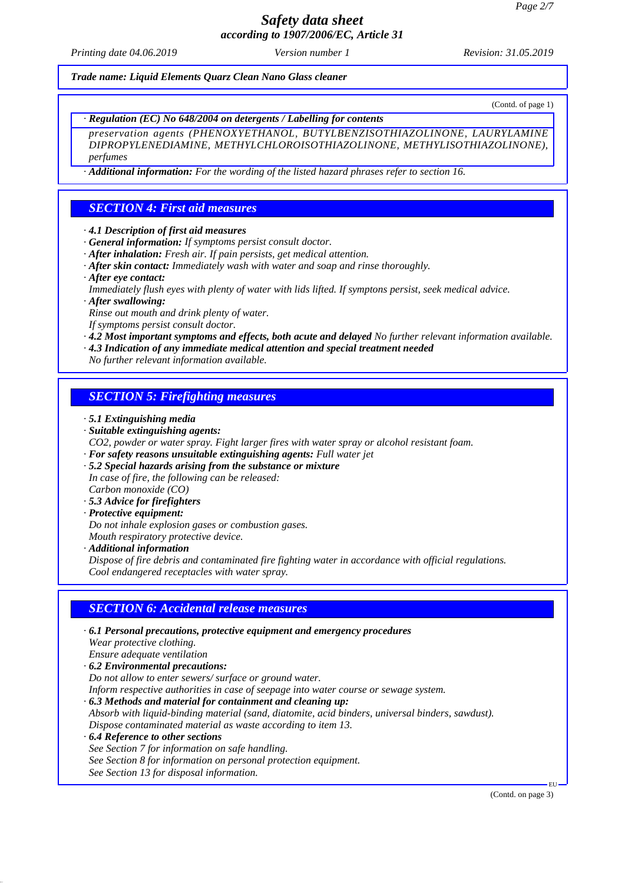*Printing date 04.06.2019 Revision: 31.05.2019 Version number 1*

*Trade name: Liquid Elements Quarz Clean Nano Glass cleaner*

(Contd. of page 1)

*· Regulation (EC) No 648/2004 on detergents / Labelling for contents*

*preservation agents (PHENOXYETHANOL, BUTYLBENZISOTHIAZOLINONE, LAURYLAMINE DIPROPYLENEDIAMINE, METHYLCHLOROISOTHIAZOLINONE, METHYLISOTHIAZOLINONE), perfumes*

*· Additional information: For the wording of the listed hazard phrases refer to section 16.*

## *SECTION 4: First aid measures*

- *· 4.1 Description of first aid measures*
- *· General information: If symptoms persist consult doctor.*
- *· After inhalation: Fresh air. If pain persists, get medical attention.*
- *· After skin contact: Immediately wash with water and soap and rinse thoroughly.*
- *· After eye contact:*
- *Immediately flush eyes with plenty of water with lids lifted. If symptons persist, seek medical advice.*
- *· After swallowing:*

*Rinse out mouth and drink plenty of water.*

*If symptoms persist consult doctor.*

*· 4.2 Most important symptoms and effects, both acute and delayed No further relevant information available.*

*· 4.3 Indication of any immediate medical attention and special treatment needed*

*No further relevant information available.*

### *SECTION 5: Firefighting measures*

- *· 5.1 Extinguishing media*
- *· Suitable extinguishing agents:*
- *CO2, powder or water spray. Fight larger fires with water spray or alcohol resistant foam.*
- *· For safety reasons unsuitable extinguishing agents: Full water jet*
- *· 5.2 Special hazards arising from the substance or mixture In case of fire, the following can be released:*
- *Carbon monoxide (CO)*
- *· 5.3 Advice for firefighters*
- *· Protective equipment:*
- *Do not inhale explosion gases or combustion gases. Mouth respiratory protective device.*
- *· Additional information*

*Dispose of fire debris and contaminated fire fighting water in accordance with official regulations. Cool endangered receptacles with water spray.*

## *SECTION 6: Accidental release measures*

- *· 6.1 Personal precautions, protective equipment and emergency procedures Wear protective clothing. Ensure adequate ventilation · 6.2 Environmental precautions: Do not allow to enter sewers/ surface or ground water. Inform respective authorities in case of seepage into water course or sewage system. · 6.3 Methods and material for containment and cleaning up: Absorb with liquid-binding material (sand, diatomite, acid binders, universal binders, sawdust). Dispose contaminated material as waste according to item 13. · 6.4 Reference to other sections*
- *See Section 7 for information on safe handling. See Section 8 for information on personal protection equipment. See Section 13 for disposal information.*

(Contd. on page 3)

EU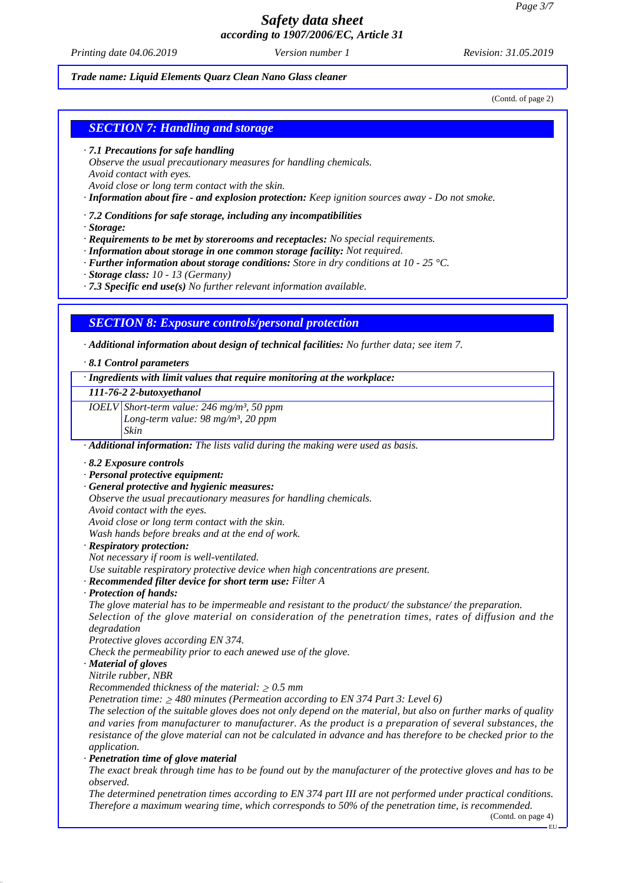*Printing date 04.06.2019 Revision: 31.05.2019 Version number 1*

#### *Trade name: Liquid Elements Quarz Clean Nano Glass cleaner*

(Contd. of page 2)

### *SECTION 7: Handling and storage*

- *· 7.1 Precautions for safe handling*
- *Observe the usual precautionary measures for handling chemicals. Avoid contact with eyes.*
- *Avoid close or long term contact with the skin.*

*· Information about fire - and explosion protection: Keep ignition sources away - Do not smoke.*

- *· 7.2 Conditions for safe storage, including any incompatibilities*
- *· Storage:*
- *· Requirements to be met by storerooms and receptacles: No special requirements.*
- *· Information about storage in one common storage facility: Not required.*
- *· Further information about storage conditions: Store in dry conditions at 10 25 °C.*
- *· Storage class: 10 13 (Germany)*
- *· 7.3 Specific end use(s) No further relevant information available.*

### *SECTION 8: Exposure controls/personal protection*

*· Additional information about design of technical facilities: No further data; see item 7.*

#### *· 8.1 Control parameters*

*· Ingredients with limit values that require monitoring at the workplace:*

*111-76-2 2-butoxyethanol*

*IOELV Short-term value: 246 mg/m³, 50 ppm Long-term value: 98 mg/m³, 20 ppm Skin*

*· Additional information: The lists valid during the making were used as basis.*

- *· 8.2 Exposure controls*
- *· Personal protective equipment:*
- *· General protective and hygienic measures:*

*Observe the usual precautionary measures for handling chemicals.*

*Avoid contact with the eyes.*

*Avoid close or long term contact with the skin.*

*Wash hands before breaks and at the end of work.*

*· Respiratory protection:*

*Not necessary if room is well-ventilated. Use suitable respiratory protective device when high concentrations are present.*

*· Recommended filter device for short term use: Filter A*

*· Protection of hands:*

*The glove material has to be impermeable and resistant to the product/ the substance/ the preparation. Selection of the glove material on consideration of the penetration times, rates of diffusion and the degradation*

*Protective gloves according EN 374.*

*Check the permeability prior to each anewed use of the glove.*

*· Material of gloves*

*Nitrile rubber, NBR*

*Recommended thickness of the material:*  $\geq 0.5$  *mm* 

*Penetration time: 480 minutes (Permeation according to EN 374 Part 3: Level 6)*

*The selection of the suitable gloves does not only depend on the material, but also on further marks of quality and varies from manufacturer to manufacturer. As the product is a preparation of several substances, the resistance of the glove material can not be calculated in advance and has therefore to be checked prior to the application.*

*· Penetration time of glove material*

*The exact break through time has to be found out by the manufacturer of the protective gloves and has to be observed.*

*The determined penetration times according to EN 374 part III are not performed under practical conditions. Therefore a maximum wearing time, which corresponds to 50% of the penetration time, is recommended.*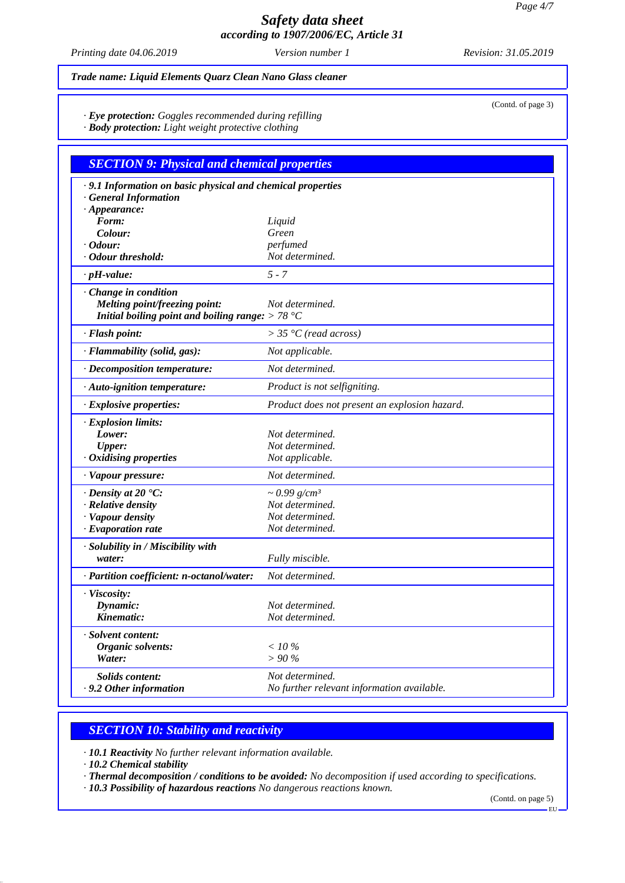*Printing date 04.06.2019 Revision: 31.05.2019 Version number 1*

(Contd. of page 3)

### *Trade name: Liquid Elements Quarz Clean Nano Glass cleaner*

*· Eye protection: Goggles recommended during refilling*

*· Body protection: Light weight protective clothing*

| <b>SECTION 9: Physical and chemical properties</b>          |                                               |  |
|-------------------------------------------------------------|-----------------------------------------------|--|
| · 9.1 Information on basic physical and chemical properties |                                               |  |
| <b>General Information</b>                                  |                                               |  |
| $\cdot$ Appearance:                                         |                                               |  |
| Form:<br>Colour:                                            | Liquid<br>Green                               |  |
| $\cdot$ Odour:                                              | perfumed                                      |  |
| · Odour threshold:                                          | Not determined.                               |  |
| $\cdot$ pH-value:                                           | $5 - 7$                                       |  |
| Change in condition                                         |                                               |  |
| Melting point/freezing point:                               | Not determined.                               |  |
| Initial boiling point and boiling range: $> 78 °C$          |                                               |  |
| · Flash point:                                              | $>$ 35 °C (read across)                       |  |
| · Flammability (solid, gas):                                | Not applicable.                               |  |
| · Decomposition temperature:                                | Not determined.                               |  |
| · Auto-ignition temperature:                                | Product is not selfigniting.                  |  |
| · Explosive properties:                                     | Product does not present an explosion hazard. |  |
| · Explosion limits:                                         |                                               |  |
| Lower:                                                      | Not determined.                               |  |
| <b>Upper:</b>                                               | Not determined.                               |  |
| $\cdot$ Oxidising properties                                | Not applicable.                               |  |
| · Vapour pressure:                                          | Not determined.                               |  |
| $\cdot$ Density at 20 $\cdot$ C:                            | $\sim 0.99$ g/cm <sup>3</sup>                 |  |
| $\cdot$ Relative density                                    | Not determined.                               |  |
| · Vapour density                                            | Not determined.<br>Not determined.            |  |
| · Evaporation rate                                          |                                               |  |
| · Solubility in / Miscibility with                          |                                               |  |
| water:                                                      | Fully miscible.                               |  |
| · Partition coefficient: n-octanol/water:                   | Not determined.                               |  |
| · Viscosity:                                                |                                               |  |
| Dynamic:                                                    | Not determined.                               |  |
| Kinematic:                                                  | Not determined.                               |  |
| · Solvent content:                                          |                                               |  |
| Organic solvents:                                           | $<$ 10 %                                      |  |
| Water:                                                      | $> 90\%$                                      |  |
| Solids content:                                             | Not determined.                               |  |
| · 9.2 Other information                                     | No further relevant information available.    |  |

## *SECTION 10: Stability and reactivity*

*· 10.1 Reactivity No further relevant information available.*

*· 10.2 Chemical stability*

*· Thermal decomposition / conditions to be avoided: No decomposition if used according to specifications.*

*· 10.3 Possibility of hazardous reactions No dangerous reactions known.*

(Contd. on page 5)

EU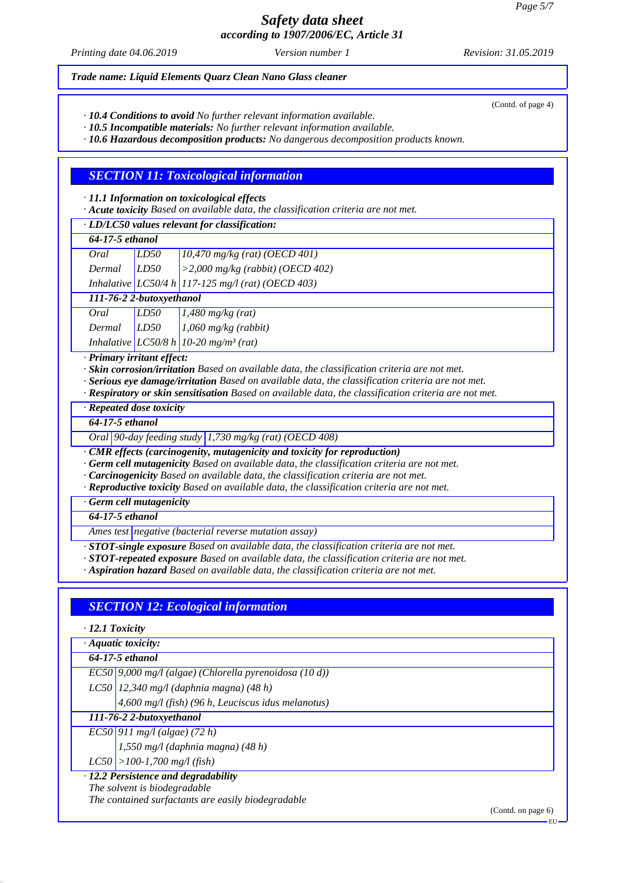*Printing date 04.06.2019 Revision: 31.05.2019 Version number 1*

#### *Trade name: Liquid Elements Quarz Clean Nano Glass cleaner*

*· 10.4 Conditions to avoid No further relevant information available.*

*· 10.5 Incompatible materials: No further relevant information available.*

*· 10.6 Hazardous decomposition products: No dangerous decomposition products known.*

### *SECTION 11: Toxicological information*

*· 11.1 Information on toxicological effects*

*· Acute toxicity Based on available data, the classification criteria are not met.*

| · LD/LC50 values relevant for classification: |                 |  |  |  |  |  |
|-----------------------------------------------|-----------------|--|--|--|--|--|
|                                               | 64-17-5 ethanol |  |  |  |  |  |
|                                               |                 |  |  |  |  |  |
|                                               |                 |  |  |  |  |  |
|                                               |                 |  |  |  |  |  |

*111-76-2 2-butoxyethanol*

| Oral   | LD50 | $1,480$ mg/kg (rat)                               |
|--------|------|---------------------------------------------------|
| Dermal | LD50 | $1,060$ mg/kg (rabbit)                            |
|        |      | Inhalative LC50/8 h 10-20 mg/m <sup>3</sup> (rat) |

*· Primary irritant effect:*

*· Skin corrosion/irritation Based on available data, the classification criteria are not met.*

*· Serious eye damage/irritation Based on available data, the classification criteria are not met.*

*· Respiratory or skin sensitisation Based on available data, the classification criteria are not met.*

*· Repeated dose toxicity*

*64-17-5 ethanol*

*Oral 90-day feeding study 1,730 mg/kg (rat) (OECD 408)*

*· CMR effects (carcinogenity, mutagenicity and toxicity for reproduction)*

*· Germ cell mutagenicity Based on available data, the classification criteria are not met.*

*· Carcinogenicity Based on available data, the classification criteria are not met.*

*· Reproductive toxicity Based on available data, the classification criteria are not met.*

*· Germ cell mutagenicity*

*64-17-5 ethanol*

*Ames test negative (bacterial reverse mutation assay)*

*· STOT-single exposure Based on available data, the classification criteria are not met.*

*· STOT-repeated exposure Based on available data, the classification criteria are not met.*

*· Aspiration hazard Based on available data, the classification criteria are not met.*

## *SECTION 12: Ecological information*

*· 12.1 Toxicity*

*· Aquatic toxicity:*

*64-17-5 ethanol*

*EC50 9,000 mg/l (algae) (Chlorella pyrenoidosa (10 d))*

*LC50 12,340 mg/l (daphnia magna) (48 h)*

*4,600 mg/l (fish) (96 h, Leuciscus idus melanotus)*

*111-76-2 2-butoxyethanol*

*EC50 911 mg/l (algae) (72 h)*

*1,550 mg/l (daphnia magna) (48 h)*

*LC50 >100-1,700 mg/l (fish)*

*· 12.2 Persistence and degradability*

*The solvent is biodegradable*

*The contained surfactants are easily biodegradable*

(Contd. on page 6)

(Contd. of page 4)

EU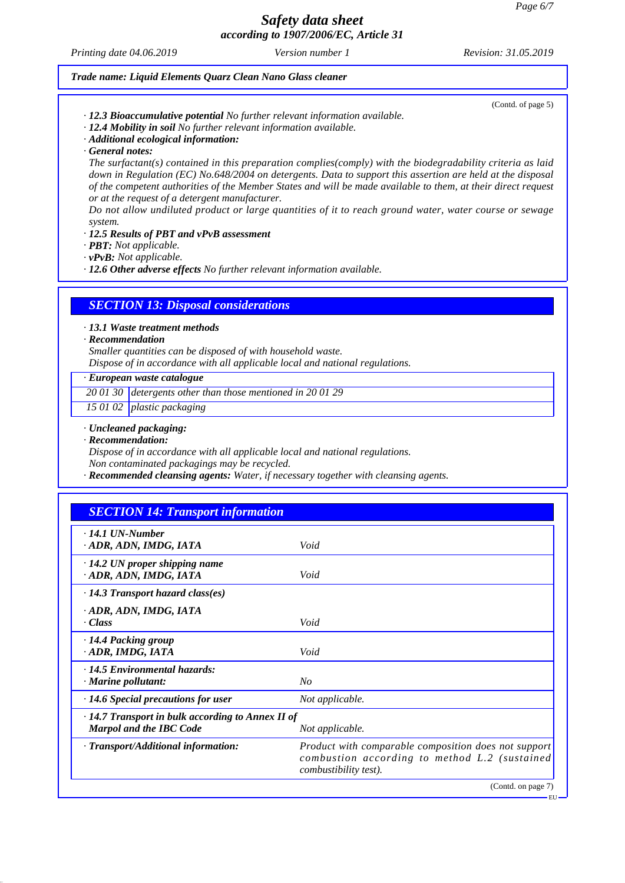*Printing date 04.06.2019 Revision: 31.05.2019 Version number 1*

(Contd. of page 5)

#### *Trade name: Liquid Elements Quarz Clean Nano Glass cleaner*

- *· 12.3 Bioaccumulative potential No further relevant information available.*
- *· 12.4 Mobility in soil No further relevant information available.*
- *· Additional ecological information:*
- *· General notes:*

*The surfactant(s) contained in this preparation complies(comply) with the biodegradability criteria as laid down in Regulation (EC) No.648/2004 on detergents. Data to support this assertion are held at the disposal of the competent authorities of the Member States and will be made available to them, at their direct request or at the request of a detergent manufacturer.*

*Do not allow undiluted product or large quantities of it to reach ground water, water course or sewage system.*

#### *· 12.5 Results of PBT and vPvB assessment*

- *· PBT: Not applicable.*
- *· vPvB: Not applicable.*

*· 12.6 Other adverse effects No further relevant information available.*

### *SECTION 13: Disposal considerations*

*· 13.1 Waste treatment methods*

#### *· Recommendation*

*Smaller quantities can be disposed of with household waste.*

*Dispose of in accordance with all applicable local and national regulations.*

*· European waste catalogue*

*20 01 30 detergents other than those mentioned in 20 01 29*

*15 01 02 plastic packaging*

- *· Uncleaned packaging:*
- *· Recommendation:*

*Dispose of in accordance with all applicable local and national regulations.*

*Non contaminated packagings may be recycled.*

*· Recommended cleansing agents: Water, if necessary together with cleansing agents.*

## *SECTION 14: Transport information*

| $\cdot$ 14.1 UN-Number<br>· ADR, ADN, IMDG, IATA                                          | Void                                                                                                                                  |
|-------------------------------------------------------------------------------------------|---------------------------------------------------------------------------------------------------------------------------------------|
| $\cdot$ 14.2 UN proper shipping name<br>ADR, ADN, IMDG, IATA                              | Void                                                                                                                                  |
| $\cdot$ 14.3 Transport hazard class(es)                                                   |                                                                                                                                       |
| · ADR, ADN, IMDG, IATA<br>· Class                                                         | Void                                                                                                                                  |
| $\cdot$ 14.4 Packing group<br>· ADR, IMDG, IATA                                           | Void                                                                                                                                  |
| $\cdot$ 14.5 Environmental hazards:<br>· Marine pollutant:                                | $N_{O}$                                                                                                                               |
| $\cdot$ 14.6 Special precautions for user                                                 | Not applicable.                                                                                                                       |
| $\cdot$ 14.7 Transport in bulk according to Annex II of<br><b>Marpol and the IBC Code</b> | Not applicable.                                                                                                                       |
| · Transport/Additional information:                                                       | Product with comparable composition does not support<br>combustion according to method L.2 (sustained<br><i>combustibility test).</i> |
|                                                                                           | (Contd. on page 7)                                                                                                                    |